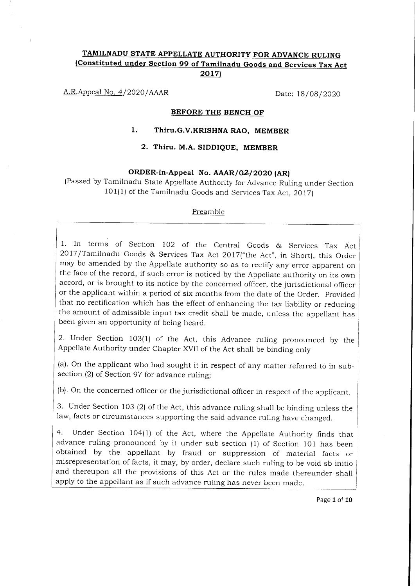## TAMILNADU STATE APPELLATE AUTHORITY FOR ADVANCE RULING (Constituted under Section 99 of Tamilnadu Goods and Services Tax Act 2017)

A.R.Appeal No. 4/2020/AAAR Date: 18/08/2020

#### BEFORE THE BENCH OF

## 1. Thiru.G.V.KRISHNA RAO, MEMBER

#### 2. Thiru. M.A. SIDDIQUE, MEMBER

## ORDER-in-Appeal No. AAAR/02/2020 (AR)

(Passed by Tamilnadu State Appellate Authority for Advance Ruling under Section 101(1) of the Tamilnadu Goods and Services Tax Act, 2017)

#### Preamble

1. In terms of Section IO2 of the Central Goods & Services Tax Act 2OI7 /Tamilnadu Goods & Services Tax Act 2OI7("the Act", in Short), this Order may be amended by the Appellate authority so as to rectify any error apparent on the face of the record, if such error is noticed by the Appellate authority on its own accord, or is brought to its notice by the concerned officer, the jurisdictional officer or the applicant within a period of six months from the date of the Order. Provided that no rectification which has the effect of enhancing the tax liability or reducing the amount of admissible input tax credit shall be made, unless the appellant has been given an opportunity of being heard.

2. Under Section 103(1) of the Act, this Advance ruling pronounced by the Appellate Authority under chapter XVII of the Act shall be binding only

(a). On the applicant who had sought it in respect of any matter referred to in subsection (2) of Section 97 for advance ruling;

(b). On the concerned officer or the jurisdictional officer in respect of the applicant.

3. Under Section 103 (2) of the Act, this advance ruling shall be binding unless the law, facts or circumstances supporting the said advance ruling have changed.

Under Section 104(1) of the Act, where the Appellate Authority finds that advance ruling pronounced by it under sub-section (1) of Section lO1 has been obtained by the appellant by fraud or suppression of material facts or misrepresentation of facts, it may, by order, declare such ruling to be void sb-initio and thereupon all the provisions of this Act or the rules made thereunder shall apply to the appellant as if such advance ruling has never been made.

Page 1 of 10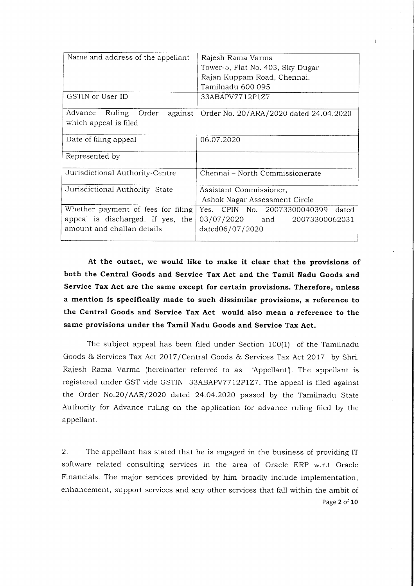| Name and address of the appellant  | Rajesh Rama Varma                      |
|------------------------------------|----------------------------------------|
|                                    | Tower-5, Flat No. 403, Sky Dugar       |
|                                    | Rajan Kuppam Road, Chennai.            |
|                                    | Tamilnadu 600 095                      |
| GSTIN or User ID                   | 33ABAPV7712P1Z7                        |
| Ruling Order<br>Advance<br>against | Order No. 20/ARA/2020 dated 24.04.2020 |
| which appeal is filed              |                                        |
| Date of filing appeal              | 06.07.2020                             |
| Represented by                     |                                        |
| Jurisdictional Authority-Centre    | Chennai – North Commissionerate        |
| Jurisdictional Authority -State    | Assistant Commissioner,                |
|                                    | Ashok Nagar Assessment Circle          |
| Whether payment of fees for filing | Yes. CPIN No. 20073300040399<br>dated  |
| appeal is discharged. If yes, the  | 03/07/2020 and 20073300062031          |
| amount and challan details         | dated06/07/2020                        |
|                                    |                                        |

At the outset, we would like to make it clear that the provisions of both the Central Goods and Service Tax Act and the Tamil Nadu Goods and Service Tax Act are the same except for certain provisions. Therefore, unless a mention is specifically made to such dissimilar provisions, a reference to the Central Goods and Service Tax Act would also mean a reference to the same provisions under the Tamil Nadu Goods and Service Tax Act.

The subject appeal has been filed under Section 100(1) of the Tamilnadu Goods & Services Tax Act 2017/Central Goods & Services Tax Act 2017 by Shri. Rajesh Rama Varma (hereinafter referred to as 'Appellant'). The appellant is registered under GST vide GSTIN 33ABAPV7712PIZ7. The appeal is filed against the Order No.2O/AAR/2020 dated 24.04.2020 passed by the Tamilnadu State Authority for Advance ruling on the application for advance ruling filed by the appeliant.

2. The appellant has stated that he is engaged in the business of providing IT software related consulting services in the area of Oracle ERP w.r.t Oracle Financials. The major services provided by him broadly include implementation, enhancement, support services and any other services that fall within the ambit of Page 2 of 10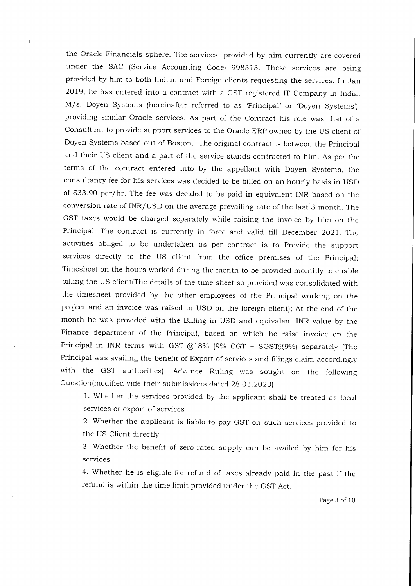the Oracle Financials sphere. The services provided by him currently are covered under the SAC (Service Accounting Code) 998313. These services are being provided by him to both Indian and Foreign clients requesting the services. In Jan 2OI9, he has entered into a contract with a GST registered IT Company in India, M/s. Doyen Systems (hereinafter referred to as 'Principal' or 'Doyen Systems'), providing similar Oracle services. As part of the Contract his role was that of <sup>a</sup> Consultant to provide support services to the Oracle ERP owned by the US client of Doyen Systems based out of Boston. The original contract is between the Principal and their US client and a part of the service stands contracted to him. As per the terms of the contract entered into by the appellant with Doyen Systems, the consultancy fee for his services was decided to be billed on an hourly basis in USD of \$33.90 per/hr. The fee was decided to be paid in equivalent INR based on the conversion rate of INR/USD on the average prevailing rate of the last 3 month. The GST taxes would be charged separately while raising the invoice by him on the Principal. The contract is currently in force and valid till December 2021. The activities obliged to be undertaken as per contract is to Provide the support services directly to the US client from the office premises of the Principal; Timesheet on the hours worked during the month to be provided monthly to enable billing the US client(The details of the time sheet so provided was consolidated with the timesheet provided by the other employees of the Principal working on the project and an invoice was raised in USD on the foreign client); At the end of the month he was provided with the Billing in USD and equivalent INR value by the Finance department of the Principal, based on which he raise invoice on the Principal in INR terms with GST  $@18%$  (9% CGT + SGST $@9%$ ) separately (The Principal was availing the benefit of Export of services and filings claim accordingly with the GST authorities). Advance Ruling was sought on the following Question(modified vide their submissions dated 28.OI.2O2Ol:

1. Whether the services provided by the applicant shall be treated as local services or export of services

2. Whether the applicant is liable to pay GST on such services provided to the US Client directly

3. whether the benefit of zero-rated supply can be availed by him for his services

4. whether he is eligible for refund of taxes already paid in the past if the refund is within the time limit provided under the GST Act.

Page 3 of 10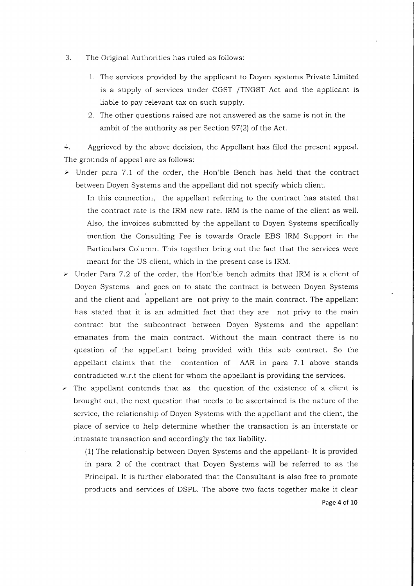- 3. The Original Authorities has ruled as follows:
	- 1. The services provided by the applicant to Doyen systems Private Limited is a supply of services under CGST /TNGST Act and the applicant is liable to pay relevant tax on such supply.
	- 2. The other questions raised are not answered as the same is not in the ambit of the authority as per Section  $97(2)$  of the Act.

4. Aggrieved by the above decision, the Appellant has filed the present appeal. The grounds of appeal are as follows:

 $\triangleright$  Under para 7.1 of the order, the Hon'ble Bench has held that the contract between Doyen Systems and the appeliant did not specify which client.

In this connection, the appellant referring to the contract has stated that the contract rate is the IRM new rate. IRM is the name of the client as well. Also, the invoices submitted by the appellant to Doyen Systems specifically mention the Consulting Fee is towards Oracle EBS IRM Support in the Particulars Column. This together bring out the fact that the services were meant for the US client, which in the present case is IRM.

 $\triangleright$  Under Para 7.2 of the order, the Hon ble bench admits that IRM is a client of Doyen Systems and goes on to state the contract is between Doyen Systems and the client and appellant are not privy to the main contract. The appellant has stated that it is an admitted fact that they are not privy to the main contract but the subcontract between Doyen Systems and the appellant emanates from the main contract. Without the main contract there is no question of the appellant being provided with this sub contract. So the appellant claims that the contention of AAR in para 7.1 above stands contradicted w.r.t the client for whom the appellant is providing the services.

 $\triangleright$  The appellant contends that as the question of the existence of a client is brought out, the next question that needs to be ascertained is the nature of the service, the relationship of Doyen Systems with the appellant and the client, the piace of service to help determine whether the transaction is an interstate or intrastate transaction and accordingly the tax liability.

(1) The relationship between Doyen Systems and the appellant- It is provided in para 2 of the contract that Doyen Systems will be referred to as the Principal. It is further elaborated that the Consultant is also free to promote products and services of DSPL. The above two facts together make it clear Page 4 of 10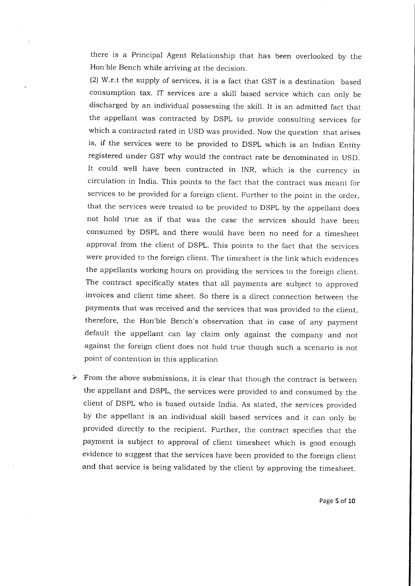there is a Principal Agent Relationship that has been overlooked by the Hon ble Bench while arriving at the decision.

(2) W.r.t the supply of services, it is a fact that GST is a destination based consumption tax. IT services are a skill based service which can only be discharged by an individual possessing the skill. It is an admitted fact that the appellant was contracted by DSPL to provide consulting services for which a contracted rated in USD was provided. Now the question that arises is, if the services were to be provided to DSPL which is an Indian Entity registered under GST why would the contract rate be denominated in USD. It could well have been contracted in INR, which is the currency in circulation in India. This points to the fact that the contract was meant for services to be provided for a foreign client. Further to the point in the order, that the services were treated to be provided to DSPL by the appellant does not hold true as if that was the case the services should have been consumed by DSPL and there would have been no need for a timesheet approval from the client of DSPL. This points to the fact that the services were provided to the foreign client. The timesheet is the link which evidences the appellants working hours on providing the services to the foreign client. The contract specifically states that all payments are subject to approved invoices and client time sheet. So there is a direct connection between the payments that was received and the services that was provided to the ciient, therefore, the Hon'ble Bench's observation that in case of any payment default the appellant can lay claim only against the company and not against the foreign client does not hold true though such a scenario is not point of contention in this application

 $\triangleright$  From the above submissions, it is clear that though the contract is between the appellant and DSPL, the services were provided to and consumed by the client of DSPL who is based outside India. As stated, the services provided by the appellant is an individual skill based services and it can only be provided directly to the recipient. Further, the contract specifies that the payment is subject to approval of client timesheet which is good enough evidence to suggest that the services have been provided to the foreign client and that service is being validated by the client by approving the timesheet.

Page 5 of 10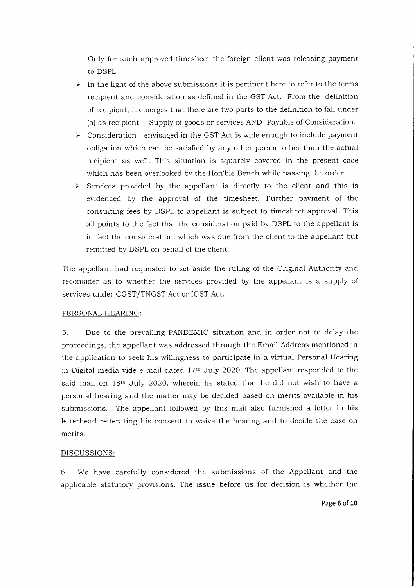Only for such approved timesheet the foreign client was reieasing payment to DSPL

- In the light of the above submissions it is pertinent here to refer to the terms recipient and consideration as defined in the GST Act. From the definition of recipient, it emerges that there are two parts to the definition to fall under (a) as recipient - Supply of goods or services AND Payable of Consideration.
- Consideration envisaged in the GST Act is wide enough to include payment obligation which can be satisfied by any other person other than the actual recipient as well. This situation is squarely covered in the present case which has been overlooked by the Hon'ble Bench while passing the order.
- $\triangleright$  Services provided by the appellant is directly to the client and this is evidenced by the approval of the timesheet. Further payment of the consulting fees by DSPL to appeilant is subject to timesheet approval. This all points to the fact that the consideration paid by DSPL to the appellant is in fact the consideration, which was due from the client to the appellant but remitted by DSPL on behalf of the client.

The appellant had requested to set aside the ruling of the Original Authority and reconsider as to whether the services provided by the appellant is a supply of services under CGST/TNGST Act or IGST Act.

#### PERSONAL HEARING:

5. Due to the prevailing PANDEMIC situation and in order not to delay the proceedings, the appellant was addressed through the Email Address mentioned in the application to seek his willingness to participate in a virtual Personal Hearing in Digital media vide e-mail dated  $17<sup>th</sup>$  July 2020. The appellant responded to the said mail on  $18<sup>th</sup>$  July 2020, wherein he stated that he did not wish to have a personal hearing and the matter may be decided based on merits available in his submissions. The appellant followed by this mail also furnished a letter in his letterhead reiterating his consent to waive the hearing and to decide the case on merits.

#### DISCUSSIONS:

6. We have carefully considered the submissions of the Appellant and the applicable statutory provisions. The issue before us for decision is whether the

Page 6 of 10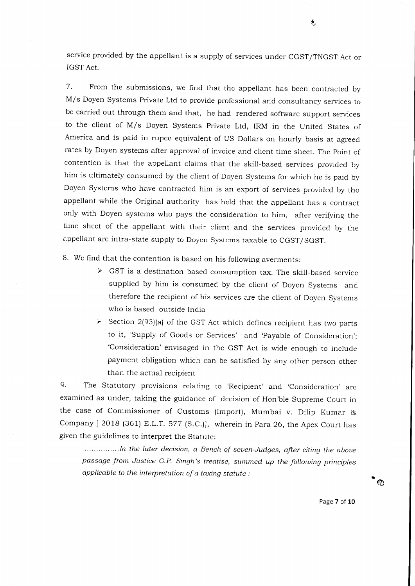service provided by the appellant is a supply of services under CGST/TNGST Act or IGST Act.

7. From the submissions, we find that the appellant has been contracted by M/s Doyen Systems Private Ltd to provide professional and consultancy services to be carried out through them and that, he had rendered software support services to the client of M/s Doyen Systems Private Ltd, IRM in the United States of America and is paid in rupee equivalent of US Dollars on hourly basis at agreed rates by Doyen systems after approval of invoice and client time sheet. The point of contention is that the appellant claims that the skili-based services provided by him is ultimately consumed by the client of Doyen Systems for which he is paid by Doyen Systems who have contracted him is an export of services provided by the appellant while the Original authority has held that the appellant has a contract only with Doyen systems who pays the consideration to him, after verifying the time sheet of the appellant with their client and the services provided by the appellant are intra-state supply to Doyen Systems taxable to cGST/SGST.

8. We find that the contention is based on his following averments:

- $\triangleright$  GST is a destination based consumption tax. The skill-based service supplied by him is consumed by the client of Doyen Systems and therefore the recipient of his services are the client of Doyen Systems who is based outside India
- Section 2(93)(a) of the GST Act which defines recipient has two parts to it, 'Supply of Goods or Services' and 'Payable of Consideration'; 'Consideration' envisaged in the GST Act is wide enough to include payment obligation which can be satisfied by any other person other than the actual recipient

9. The Statutory provisions relating to 'Recipient' and 'Consideration' are examined as under, taking the guidance of decision of Hon'ble Supreme Court in the case of Commissioner of Customs (lmport), Mumbai v. Dilip Kumar & Company [2018 (361) E.L.T. 577 (S.C.)], wherein in Para 26, the Apex Court has given the guidelines to interpret the Statute:

...............In the later decision, a Bench of seven-Judges, after citing the above passage from Justice G.P. Singh's treatise, summed up the following principles applicable to the interpretation of a taxing statute :

s

Page 7 of 10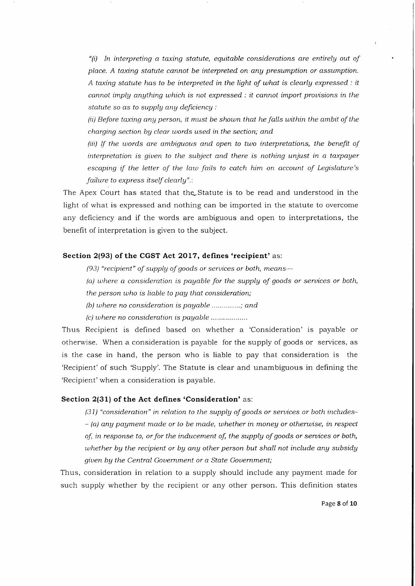"(i) In interpreting a taxing statute, equitable considerations are entirely out of place. A taxing statute cannot be interpreted on any presumption or assumption. A taxing statute has to be interpreted in the light of what is clearly expressed : it cannot imply angthing which is not expressed : it cannot import prouisions in the statute so as to supply any deficiency:

 $(iii)$  Before taxing any person, it must be shown that he falls within the ambit of the charging section by clear words used in the section; and

 $(iii)$  If the words are ambiguous and open to two interpretations, the benefit of interpretation is giuen to the subject and there is nothing unjust in a taxpager escaping if the letter of the law fails to catch him on account of Legislature's failure to express itself clearly".:

The Apex Court has stated that the Statute is to be read and understood in the light of what is expressed and nothing can be imported in the statute to overcome any deficiency and if the words are ambiguous and open to interpretations, the benefit of interpretation is given to the subject.

#### Section 2(93) of the CGST Act 2017, defines 'recipient' as:

(93) "recipient" of supply of goods or services or both, means-

(a) where a consideration is payable for the supply of goods or services or both, the person uho is liable to pag that consideration;

(b) where no consideration is payable  $...,...,$ 

(c) tuhere no consideration is pagable

Thus Recipient is defined based on whether a 'Consideration' is payable or otherwise. When a consideration is payable for the supply of goods or services, as is the case in hand, the person who is liable to pay that consideration is the 'Recipient'of such 'Supply'. The Statute is clear and unambiguous in defining the 'Recipient'when a consideration is payable.

#### Section 2(31) of the Act defines 'Consideration' as:

(3 1) "consideration" in relation to the supplg of goods or seruices or both includes-  $-$  (a) any payment made or to be made, whether in money or otherwise, in respect of, in response to, or for the inducement of, the supplg of goods or seruices or both, whether by the recipient or by any other person but shall not include any subsidy given by the Central Government or a State Government;

Thus, consideration in relation to a supply should include any payment made for such supply whether by the recipient or any other person. This definition states

Page 8 of 10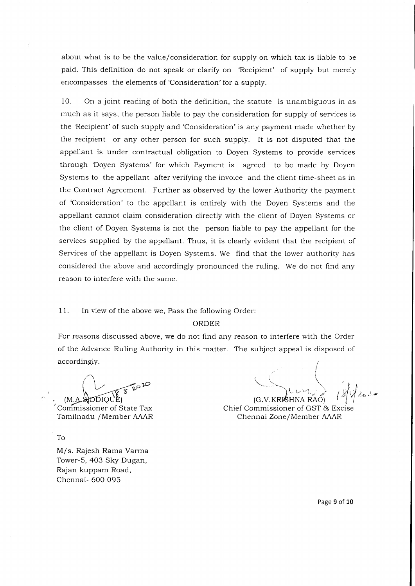about what is to be the value/consideration for supply on which tax is liable to be paid. This definition do not speak or clarify on 'Recipient' of supply but merely encompasses the elements of 'Consideration'for a supply.

10. On a joint reading of both the definition, the statute is unambiguous in as much as it says, the person liable to pay the consideration for supply of services is the 'Recipient'of such supply and 'Consideration' is any payment made whether by the recipient or any other person for such supply. It is not disputed that the appellant is under contractual obligation to Doyen Systems to provide services through 'Doyen Systems' for which Payment is agreed to be made by Doyen Systems to the appellant after verifying the invoice and the client time-sheet as in the Contract Agreement. Further as observed by the lower Authority the payment of 'Consideration' to the appellant is entirely with the Doyen Systems and the appellant cannot claim consideration directly with the client of Doyen Systems or the client of Doyen Systems is not the person liable to pay the appellant for the services supplied by the appellant. Thus, it is clearly evident that the recipient of Services of the appellant is Doyen Systems. We find that the lower authority has considered the above and accordingly pronounced the ruling. We do not find any reason to interfere with the same.

# <sup>1</sup>1. In view of the above we, Pass the following Order:

### ORDER

For reasons discussed above, we do not find any reason to interfere with the Order of the Advance Ruling Authority in this matter. The subject appeal is disposed of accordingly.

'Corrimissioner of State Tax Tamilnadu / Member AAAR

To

M/s. Rajesh Rama Varma Tower-S, 403 Sky Dugan, Rajan kuppam Road, Chennai- 600 095

{ . As follows: we have the set of  $\mathcal{A}$  $\zeta \in \mathcal{C}$  $\mu$ urt $\geq$  ,gld.  $2a<sup>2</sup>$ 

 $(G.V.KRI\& HNA RAO)$ Chief Commissioner of GST & Excise Chennai Zone / Member AAAR

Page 9 of 10